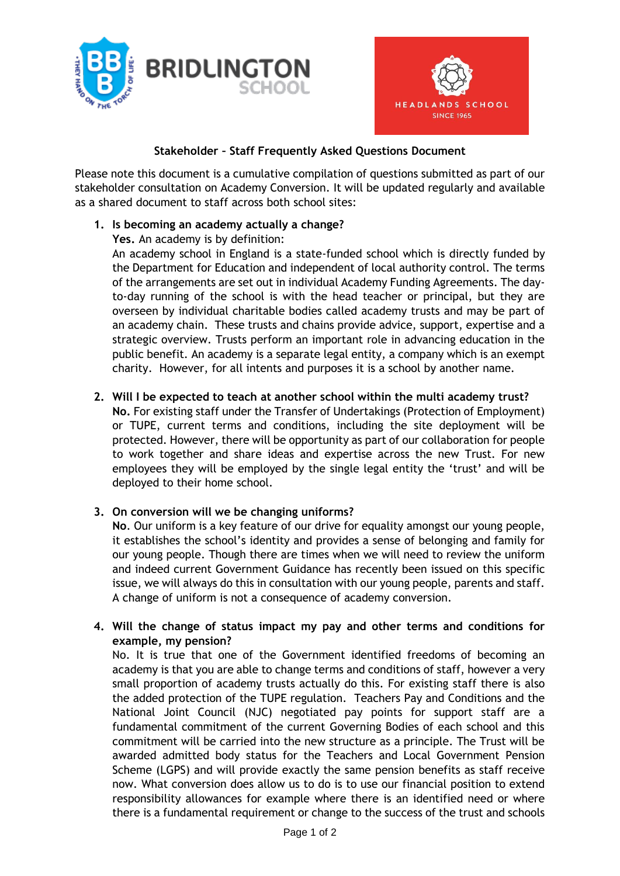



### **Stakeholder – Staff Frequently Asked Questions Document**

Please note this document is a cumulative compilation of questions submitted as part of our stakeholder consultation on Academy Conversion. It will be updated regularly and available as a shared document to staff across both school sites:

### **1. Is becoming an academy actually a change?**

**Yes.** An academy is by definition:

An academy school in England is a state-funded school which is directly funded by the Department for Education and independent of local authority control. The terms of the arrangements are set out in individual Academy Funding Agreements. The dayto-day running of the school is with the head teacher or principal, but they are overseen by individual charitable bodies called academy trusts and may be part of an academy chain. These trusts and chains provide advice, support, expertise and a strategic overview. Trusts perform an important role in advancing education in the public benefit. An academy is a separate legal entity, a company which is an exempt charity. However, for all intents and purposes it is a school by another name.

### **2. Will I be expected to teach at another school within the multi academy trust?**

**No.** For existing staff under the Transfer of Undertakings (Protection of Employment) or TUPE, current terms and conditions, including the site deployment will be protected. However, there will be opportunity as part of our collaboration for people to work together and share ideas and expertise across the new Trust. For new employees they will be employed by the single legal entity the 'trust' and will be deployed to their home school.

# **3. On conversion will we be changing uniforms?**

**No**. Our uniform is a key feature of our drive for equality amongst our young people, it establishes the school's identity and provides a sense of belonging and family for our young people. Though there are times when we will need to review the uniform and indeed current Government Guidance has recently been issued on this specific issue, we will always do this in consultation with our young people, parents and staff. A change of uniform is not a consequence of academy conversion.

### **4. Will the change of status impact my pay and other terms and conditions for example, my pension?**

No. It is true that one of the Government identified freedoms of becoming an academy is that you are able to change terms and conditions of staff, however a very small proportion of academy trusts actually do this. For existing staff there is also the added protection of the TUPE regulation. Teachers Pay and Conditions and the National Joint Council (NJC) negotiated pay points for support staff are a fundamental commitment of the current Governing Bodies of each school and this commitment will be carried into the new structure as a principle. The Trust will be awarded admitted body status for the Teachers and Local Government Pension Scheme (LGPS) and will provide exactly the same pension benefits as staff receive now. What conversion does allow us to do is to use our financial position to extend responsibility allowances for example where there is an identified need or where there is a fundamental requirement or change to the success of the trust and schools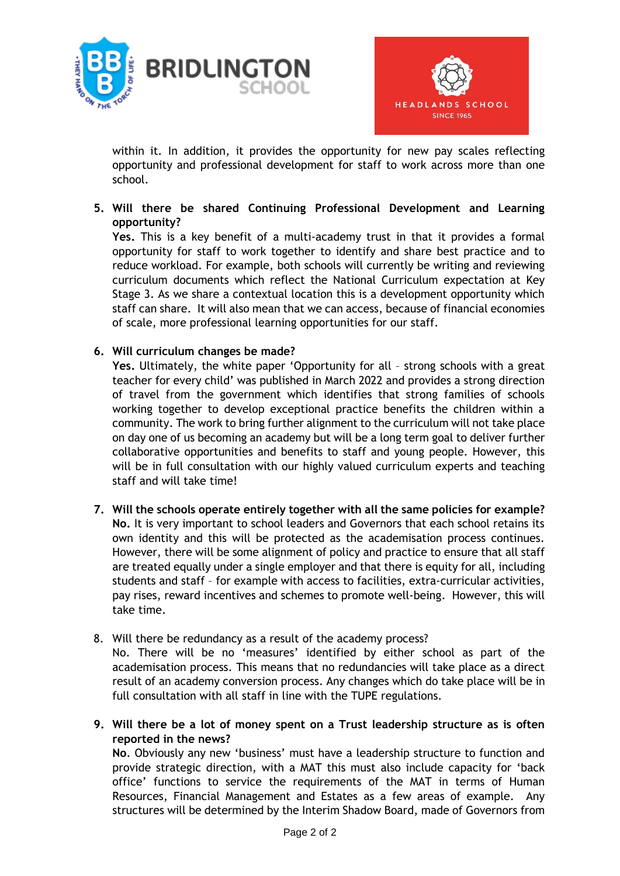



within it. In addition, it provides the opportunity for new pay scales reflecting opportunity and professional development for staff to work across more than one school.

### **5. Will there be shared Continuing Professional Development and Learning opportunity?**

**Yes.** This is a key benefit of a multi-academy trust in that it provides a formal opportunity for staff to work together to identify and share best practice and to reduce workload. For example, both schools will currently be writing and reviewing curriculum documents which reflect the National Curriculum expectation at Key Stage 3. As we share a contextual location this is a development opportunity which staff can share. It will also mean that we can access, because of financial economies of scale, more professional learning opportunities for our staff.

# **6. Will curriculum changes be made?**

**Yes.** Ultimately, the white paper 'Opportunity for all – strong schools with a great teacher for every child' was published in March 2022 and provides a strong direction of travel from the government which identifies that strong families of schools working together to develop exceptional practice benefits the children within a community. The work to bring further alignment to the curriculum will not take place on day one of us becoming an academy but will be a long term goal to deliver further collaborative opportunities and benefits to staff and young people. However, this will be in full consultation with our highly valued curriculum experts and teaching staff and will take time!

- **7. Will the schools operate entirely together with all the same policies for example? No.** It is very important to school leaders and Governors that each school retains its own identity and this will be protected as the academisation process continues. However, there will be some alignment of policy and practice to ensure that all staff are treated equally under a single employer and that there is equity for all, including students and staff – for example with access to facilities, extra-curricular activities, pay rises, reward incentives and schemes to promote well-being. However, this will take time.
- 8. Will there be redundancy as a result of the academy process?

No. There will be no 'measures' identified by either school as part of the academisation process. This means that no redundancies will take place as a direct result of an academy conversion process. Any changes which do take place will be in full consultation with all staff in line with the TUPE regulations.

**9. Will there be a lot of money spent on a Trust leadership structure as is often reported in the news?**

**No**. Obviously any new 'business' must have a leadership structure to function and provide strategic direction, with a MAT this must also include capacity for 'back office' functions to service the requirements of the MAT in terms of Human Resources, Financial Management and Estates as a few areas of example. Any structures will be determined by the Interim Shadow Board, made of Governors from